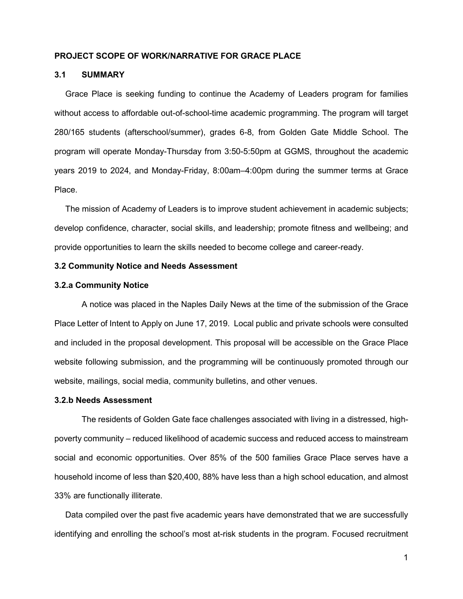### **PROJECT SCOPE OF WORK/NARRATIVE FOR GRACE PLACE**

# **3.1 SUMMARY**

Grace Place is seeking funding to continue the Academy of Leaders program for families without access to affordable out-of-school-time academic programming. The program will target 280/165 students (afterschool/summer), grades 6-8, from Golden Gate Middle School. The program will operate Monday-Thursday from 3:50-5:50pm at GGMS, throughout the academic years 2019 to 2024, and Monday-Friday, 8:00am–4:00pm during the summer terms at Grace Place.

The mission of Academy of Leaders is to improve student achievement in academic subjects; develop confidence, character, social skills, and leadership; promote fitness and wellbeing; and provide opportunities to learn the skills needed to become college and career-ready.

# **3.2 Community Notice and Needs Assessment**

#### **3.2.a Community Notice**

A notice was placed in the Naples Daily News at the time of the submission of the Grace Place Letter of Intent to Apply on June 17, 2019. Local public and private schools were consulted and included in the proposal development. This proposal will be accessible on the Grace Place website following submission, and the programming will be continuously promoted through our website, mailings, social media, community bulletins, and other venues.

# **3.2.b Needs Assessment**

The residents of Golden Gate face challenges associated with living in a distressed, highpoverty community – reduced likelihood of academic success and reduced access to mainstream social and economic opportunities. Over 85% of the 500 families Grace Place serves have a household income of less than \$20,400, 88% have less than a high school education, and almost 33% are functionally illiterate.

Data compiled over the past five academic years have demonstrated that we are successfully identifying and enrolling the school's most at-risk students in the program. Focused recruitment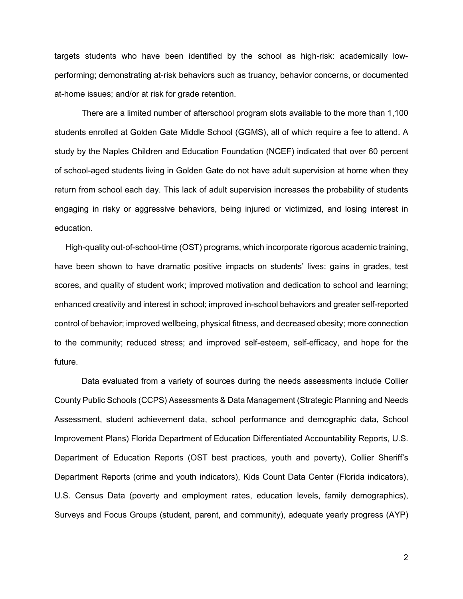targets students who have been identified by the school as high-risk: academically lowperforming; demonstrating at-risk behaviors such as truancy, behavior concerns, or documented at-home issues; and/or at risk for grade retention.

There are a limited number of afterschool program slots available to the more than 1,100 students enrolled at Golden Gate Middle School (GGMS), all of which require a fee to attend. A study by the Naples Children and Education Foundation (NCEF) indicated that over 60 percent of school-aged students living in Golden Gate do not have adult supervision at home when they return from school each day. This lack of adult supervision increases the probability of students engaging in risky or aggressive behaviors, being injured or victimized, and losing interest in education.

High-quality out-of-school-time (OST) programs, which incorporate rigorous academic training, have been shown to have dramatic positive impacts on students' lives: gains in grades, test scores, and quality of student work; improved motivation and dedication to school and learning; enhanced creativity and interest in school; improved in-school behaviors and greater self-reported control of behavior; improved wellbeing, physical fitness, and decreased obesity; more connection to the community; reduced stress; and improved self-esteem, self-efficacy, and hope for the future.

Data evaluated from a variety of sources during the needs assessments include Collier County Public Schools (CCPS) Assessments & Data Management (Strategic Planning and Needs Assessment, student achievement data, school performance and demographic data, School Improvement Plans) Florida Department of Education Differentiated Accountability Reports, U.S. Department of Education Reports (OST best practices, youth and poverty), Collier Sheriff's Department Reports (crime and youth indicators), Kids Count Data Center (Florida indicators), U.S. Census Data (poverty and employment rates, education levels, family demographics), Surveys and Focus Groups (student, parent, and community), adequate yearly progress (AYP)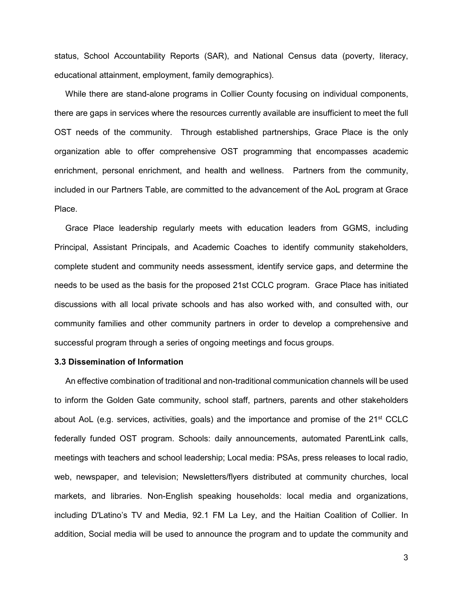status, School Accountability Reports (SAR), and National Census data (poverty, literacy, educational attainment, employment, family demographics).

While there are stand-alone programs in Collier County focusing on individual components, there are gaps in services where the resources currently available are insufficient to meet the full OST needs of the community. Through established partnerships, Grace Place is the only organization able to offer comprehensive OST programming that encompasses academic enrichment, personal enrichment, and health and wellness. Partners from the community, included in our Partners Table, are committed to the advancement of the AoL program at Grace Place.

Grace Place leadership regularly meets with education leaders from GGMS, including Principal, Assistant Principals, and Academic Coaches to identify community stakeholders, complete student and community needs assessment, identify service gaps, and determine the needs to be used as the basis for the proposed 21st CCLC program. Grace Place has initiated discussions with all local private schools and has also worked with, and consulted with, our community families and other community partners in order to develop a comprehensive and successful program through a series of ongoing meetings and focus groups.

#### **3.3 Dissemination of Information**

An effective combination of traditional and non-traditional communication channels will be used to inform the Golden Gate community, school staff, partners, parents and other stakeholders about AoL (e.g. services, activities, goals) and the importance and promise of the 21<sup>st</sup> CCLC federally funded OST program. Schools: daily announcements, automated ParentLink calls, meetings with teachers and school leadership; Local media: PSAs, press releases to local radio, web, newspaper, and television; Newsletters/flyers distributed at community churches, local markets, and libraries. Non-English speaking households: local media and organizations, including D'Latino's TV and Media, 92.1 FM La Ley, and the Haitian Coalition of Collier. In addition, Social media will be used to announce the program and to update the community and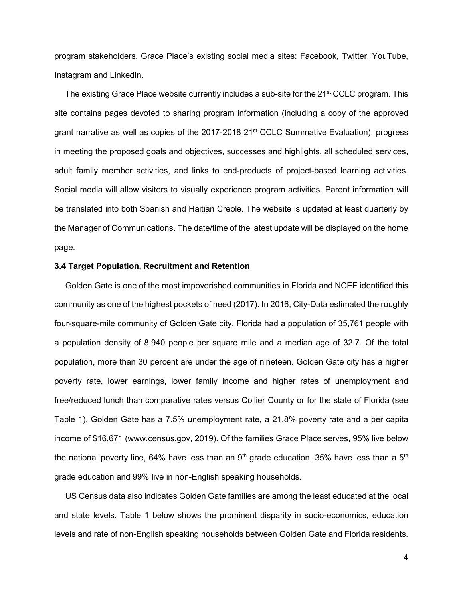program stakeholders. Grace Place's existing social media sites: Facebook, Twitter, YouTube, Instagram and LinkedIn.

The existing Grace Place website currently includes a sub-site for the 21<sup>st</sup> CCLC program. This site contains pages devoted to sharing program information (including a copy of the approved grant narrative as well as copies of the 2017-2018 21<sup>st</sup> CCLC Summative Evaluation), progress in meeting the proposed goals and objectives, successes and highlights, all scheduled services, adult family member activities, and links to end-products of project-based learning activities. Social media will allow visitors to visually experience program activities. Parent information will be translated into both Spanish and Haitian Creole. The website is updated at least quarterly by the Manager of Communications. The date/time of the latest update will be displayed on the home page.

## **3.4 Target Population, Recruitment and Retention**

Golden Gate is one of the most impoverished communities in Florida and NCEF identified this community as one of the highest pockets of need (2017). In 2016, City-Data estimated the roughly four-square-mile community of Golden Gate city, Florida had a population of 35,761 people with a population density of 8,940 people per square mile and a median age of 32.7. Of the total population, more than 30 percent are under the age of nineteen. Golden Gate city has a higher poverty rate, lower earnings, lower family income and higher rates of unemployment and free/reduced lunch than comparative rates versus Collier County or for the state of Florida (see Table 1). Golden Gate has a 7.5% unemployment rate, a 21.8% poverty rate and a per capita income of \$16,671 (www.census.gov, 2019). Of the families Grace Place serves, 95% live below the national poverty line, 64% have less than an  $9<sup>th</sup>$  grade education, 35% have less than a  $5<sup>th</sup>$ grade education and 99% live in non-English speaking households.

US Census data also indicates Golden Gate families are among the least educated at the local and state levels. Table 1 below shows the prominent disparity in socio-economics, education levels and rate of non-English speaking households between Golden Gate and Florida residents.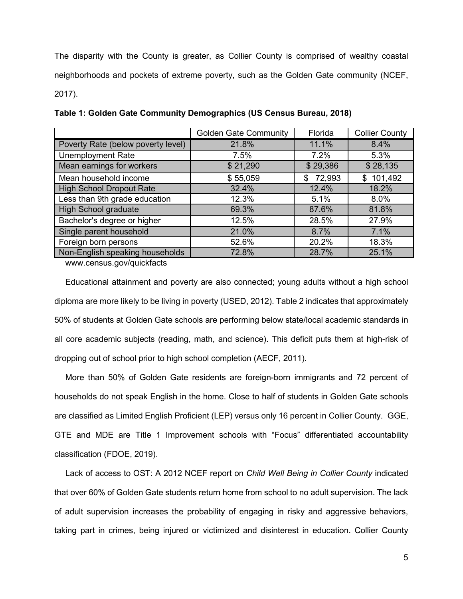The disparity with the County is greater, as Collier County is comprised of wealthy coastal neighborhoods and pockets of extreme poverty, such as the Golden Gate community (NCEF, 2017).

|                                    | <b>Golden Gate Community</b> | Florida       | <b>Collier County</b> |
|------------------------------------|------------------------------|---------------|-----------------------|
| Poverty Rate (below poverty level) | 21.8%                        | 11.1%         | 8.4%                  |
| <b>Unemployment Rate</b>           | 7.5%                         | 7.2%          | 5.3%                  |
| Mean earnings for workers          | \$21,290                     | \$29,386      | \$28,135              |
| Mean household income              | \$55,059                     | 72,993<br>\$. | 101,492<br>\$         |
| <b>High School Dropout Rate</b>    | 32.4%                        | 12.4%         | 18.2%                 |
| Less than 9th grade education      | 12.3%                        | 5.1%          | 8.0%                  |
| <b>High School graduate</b>        | 69.3%                        | 87.6%         | 81.8%                 |
| Bachelor's degree or higher        | 12.5%                        | 28.5%         | 27.9%                 |
| Single parent household            | 21.0%                        | 8.7%          | 7.1%                  |
| Foreign born persons               | 52.6%                        | 20.2%         | 18.3%                 |
| Non-English speaking households    | 72.8%                        | 28.7%         | 25.1%                 |

**Table 1: Golden Gate Community Demographics (US Census Bureau, 2018)**

www.census.gov/quickfacts

Educational attainment and poverty are also connected; young adults without a high school diploma are more likely to be living in poverty (USED, 2012). Table 2 indicates that approximately 50% of students at Golden Gate schools are performing below state/local academic standards in all core academic subjects (reading, math, and science). This deficit puts them at high-risk of dropping out of school prior to high school completion (AECF, 2011).

More than 50% of Golden Gate residents are foreign-born immigrants and 72 percent of households do not speak English in the home. Close to half of students in Golden Gate schools are classified as Limited English Proficient (LEP) versus only 16 percent in Collier County. GGE, GTE and MDE are Title 1 Improvement schools with "Focus" differentiated accountability classification (FDOE, 2019).

Lack of access to OST: A 2012 NCEF report on *Child Well Being in Collier County* indicated that over 60% of Golden Gate students return home from school to no adult supervision. The lack of adult supervision increases the probability of engaging in risky and aggressive behaviors, taking part in crimes, being injured or victimized and disinterest in education. Collier County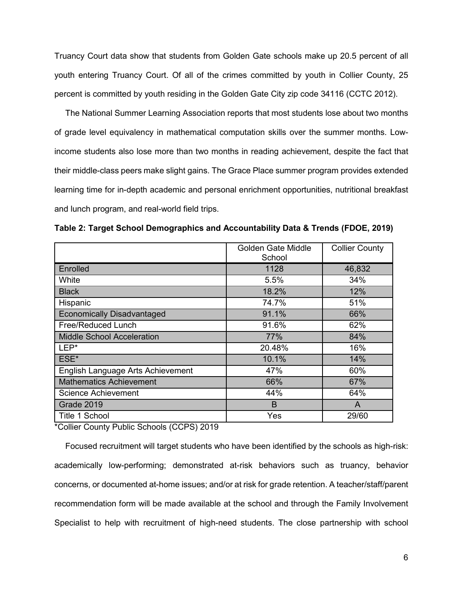Truancy Court data show that students from Golden Gate schools make up 20.5 percent of all youth entering Truancy Court. Of all of the crimes committed by youth in Collier County, 25 percent is committed by youth residing in the Golden Gate City zip code 34116 (CCTC 2012).

The National Summer Learning Association reports that most students lose about two months of grade level equivalency in mathematical computation skills over the summer months. Lowincome students also lose more than two months in reading achievement, despite the fact that their middle-class peers make slight gains. The Grace Place summer program provides extended learning time for in-depth academic and personal enrichment opportunities, nutritional breakfast and lunch program, and real-world field trips.

|                                   | <b>Golden Gate Middle</b><br>School | <b>Collier County</b> |
|-----------------------------------|-------------------------------------|-----------------------|
| Enrolled                          | 1128                                | 46,832                |
| White                             | 5.5%                                | 34%                   |
| <b>Black</b>                      | 18.2%                               | 12%                   |
| Hispanic                          | 74.7%                               | 51%                   |
| <b>Economically Disadvantaged</b> | 91.1%                               | 66%                   |
| Free/Reduced Lunch                | 91.6%                               | 62%                   |
| <b>Middle School Acceleration</b> | 77%                                 | 84%                   |
| LEP*                              | 20.48%                              | 16%                   |
| ESE*                              | 10.1%                               | 14%                   |
| English Language Arts Achievement | 47%                                 | 60%                   |
| <b>Mathematics Achievement</b>    | 66%                                 | 67%                   |
| <b>Science Achievement</b>        | 44%                                 | 64%                   |
| Grade 2019                        | B                                   | A                     |
| Title 1 School                    | Yes                                 | 29/60                 |

**Table 2: Target School Demographics and Accountability Data & Trends (FDOE, 2019)**

\*Collier County Public Schools (CCPS) 2019

Focused recruitment will target students who have been identified by the schools as high-risk: academically low-performing; demonstrated at-risk behaviors such as truancy, behavior concerns, or documented at-home issues; and/or at risk for grade retention. A teacher/staff/parent recommendation form will be made available at the school and through the Family Involvement Specialist to help with recruitment of high-need students. The close partnership with school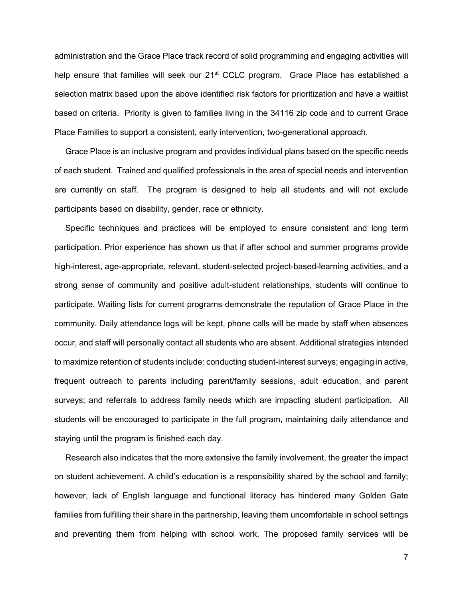administration and the Grace Place track record of solid programming and engaging activities will help ensure that families will seek our 21<sup>st</sup> CCLC program. Grace Place has established a selection matrix based upon the above identified risk factors for prioritization and have a waitlist based on criteria. Priority is given to families living in the 34116 zip code and to current Grace Place Families to support a consistent, early intervention, two-generational approach.

Grace Place is an inclusive program and provides individual plans based on the specific needs of each student. Trained and qualified professionals in the area of special needs and intervention are currently on staff. The program is designed to help all students and will not exclude participants based on disability, gender, race or ethnicity.

Specific techniques and practices will be employed to ensure consistent and long term participation. Prior experience has shown us that if after school and summer programs provide high-interest, age-appropriate, relevant, student-selected project-based-learning activities, and a strong sense of community and positive adult-student relationships, students will continue to participate. Waiting lists for current programs demonstrate the reputation of Grace Place in the community. Daily attendance logs will be kept, phone calls will be made by staff when absences occur, and staff will personally contact all students who are absent. Additional strategies intended to maximize retention of students include: conducting student-interest surveys; engaging in active, frequent outreach to parents including parent/family sessions, adult education, and parent surveys; and referrals to address family needs which are impacting student participation. All students will be encouraged to participate in the full program, maintaining daily attendance and staying until the program is finished each day.

Research also indicates that the more extensive the family involvement, the greater the impact on student achievement. A child's education is a responsibility shared by the school and family; however, lack of English language and functional literacy has hindered many Golden Gate families from fulfilling their share in the partnership, leaving them uncomfortable in school settings and preventing them from helping with school work. The proposed family services will be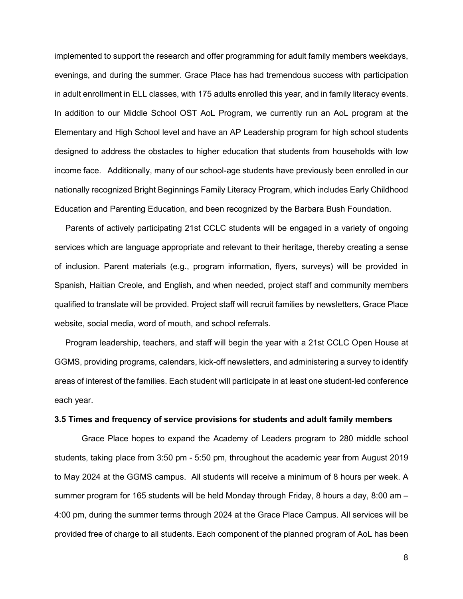implemented to support the research and offer programming for adult family members weekdays, evenings, and during the summer. Grace Place has had tremendous success with participation in adult enrollment in ELL classes, with 175 adults enrolled this year, and in family literacy events. In addition to our Middle School OST AoL Program, we currently run an AoL program at the Elementary and High School level and have an AP Leadership program for high school students designed to address the obstacles to higher education that students from households with low income face. Additionally, many of our school-age students have previously been enrolled in our nationally recognized Bright Beginnings Family Literacy Program, which includes Early Childhood Education and Parenting Education, and been recognized by the Barbara Bush Foundation.

Parents of actively participating 21st CCLC students will be engaged in a variety of ongoing services which are language appropriate and relevant to their heritage, thereby creating a sense of inclusion. Parent materials (e.g., program information, flyers, surveys) will be provided in Spanish, Haitian Creole, and English, and when needed, project staff and community members qualified to translate will be provided. Project staff will recruit families by newsletters, Grace Place website, social media, word of mouth, and school referrals.

Program leadership, teachers, and staff will begin the year with a 21st CCLC Open House at GGMS, providing programs, calendars, kick-off newsletters, and administering a survey to identify areas of interest of the families. Each student will participate in at least one student-led conference each year.

#### **3.5 Times and frequency of service provisions for students and adult family members**

Grace Place hopes to expand the Academy of Leaders program to 280 middle school students, taking place from 3:50 pm - 5:50 pm, throughout the academic year from August 2019 to May 2024 at the GGMS campus. All students will receive a minimum of 8 hours per week. A summer program for 165 students will be held Monday through Friday, 8 hours a day, 8:00 am – 4:00 pm, during the summer terms through 2024 at the Grace Place Campus. All services will be provided free of charge to all students. Each component of the planned program of AoL has been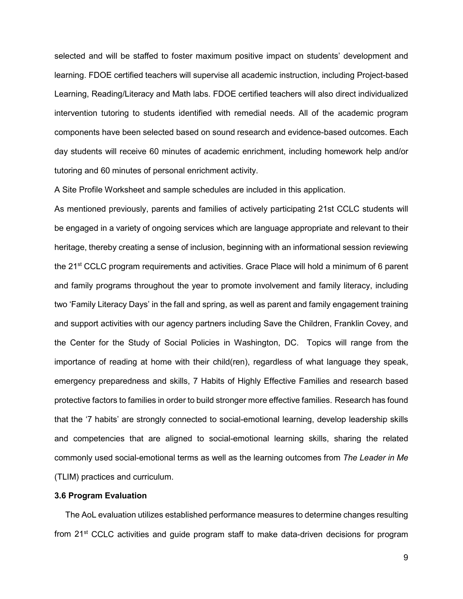selected and will be staffed to foster maximum positive impact on students' development and learning. FDOE certified teachers will supervise all academic instruction, including Project-based Learning, Reading/Literacy and Math labs. FDOE certified teachers will also direct individualized intervention tutoring to students identified with remedial needs. All of the academic program components have been selected based on sound research and evidence-based outcomes. Each day students will receive 60 minutes of academic enrichment, including homework help and/or tutoring and 60 minutes of personal enrichment activity.

A Site Profile Worksheet and sample schedules are included in this application.

As mentioned previously, parents and families of actively participating 21st CCLC students will be engaged in a variety of ongoing services which are language appropriate and relevant to their heritage, thereby creating a sense of inclusion, beginning with an informational session reviewing the 21<sup>st</sup> CCLC program requirements and activities. Grace Place will hold a minimum of 6 parent and family programs throughout the year to promote involvement and family literacy, including two 'Family Literacy Days' in the fall and spring, as well as parent and family engagement training and support activities with our agency partners including Save the Children, Franklin Covey, and the Center for the Study of Social Policies in Washington, DC. Topics will range from the importance of reading at home with their child(ren), regardless of what language they speak, emergency preparedness and skills, 7 Habits of Highly Effective Families and research based protective factors to families in order to build stronger more effective families. Research has found that the '7 habits' are strongly connected to social-emotional learning, develop leadership skills and competencies that are aligned to [social-emotional learning skills,](https://www.leaderinme.org/social-emotional-learning/) sharing the related commonly used social-emotional terms as well as the learning outcomes from *The Leader in Me* (TLIM) practices and curriculum.

## **3.6 Program Evaluation**

The AoL evaluation utilizes established performance measures to determine changes resulting from 21<sup>st</sup> CCLC activities and guide program staff to make data-driven decisions for program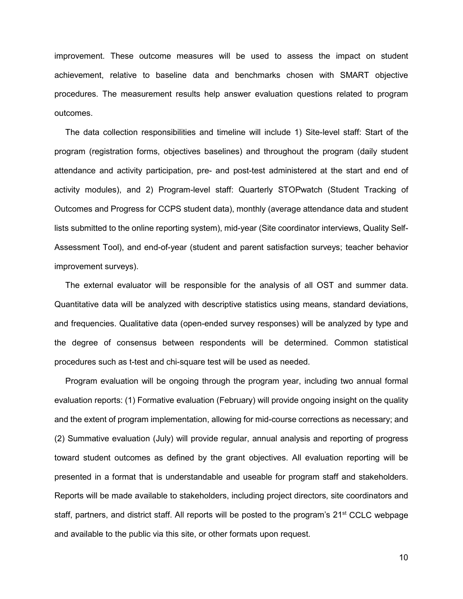improvement. These outcome measures will be used to assess the impact on student achievement, relative to baseline data and benchmarks chosen with SMART objective procedures. The measurement results help answer evaluation questions related to program outcomes.

The data collection responsibilities and timeline will include 1) Site-level staff: Start of the program (registration forms, objectives baselines) and throughout the program (daily student attendance and activity participation, pre- and post-test administered at the start and end of activity modules), and 2) Program-level staff: Quarterly STOPwatch (Student Tracking of Outcomes and Progress for CCPS student data), monthly (average attendance data and student lists submitted to the online reporting system), mid-year (Site coordinator interviews, Quality Self-Assessment Tool), and end-of-year (student and parent satisfaction surveys; teacher behavior improvement surveys).

The external evaluator will be responsible for the analysis of all OST and summer data. Quantitative data will be analyzed with descriptive statistics using means, standard deviations, and frequencies. Qualitative data (open-ended survey responses) will be analyzed by type and the degree of consensus between respondents will be determined. Common statistical procedures such as t-test and chi-square test will be used as needed.

Program evaluation will be ongoing through the program year, including two annual formal evaluation reports: (1) Formative evaluation (February) will provide ongoing insight on the quality and the extent of program implementation, allowing for mid-course corrections as necessary; and (2) Summative evaluation (July) will provide regular, annual analysis and reporting of progress toward student outcomes as defined by the grant objectives. All evaluation reporting will be presented in a format that is understandable and useable for program staff and stakeholders. Reports will be made available to stakeholders, including project directors, site coordinators and staff, partners, and district staff. All reports will be posted to the program's 21<sup>st</sup> CCLC webpage and available to the public via this site, or other formats upon request.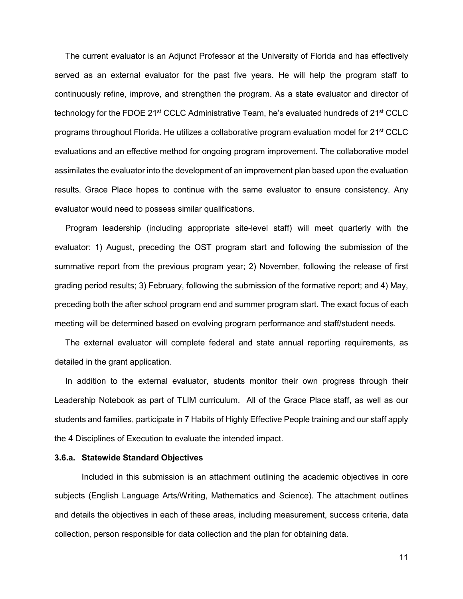The current evaluator is an Adjunct Professor at the University of Florida and has effectively served as an external evaluator for the past five years. He will help the program staff to continuously refine, improve, and strengthen the program. As a state evaluator and director of technology for the FDOE 21<sup>st</sup> CCLC Administrative Team, he's evaluated hundreds of 21<sup>st</sup> CCLC programs throughout Florida. He utilizes a collaborative program evaluation model for 21st CCLC evaluations and an effective method for ongoing program improvement. The collaborative model assimilates the evaluator into the development of an improvement plan based upon the evaluation results. Grace Place hopes to continue with the same evaluator to ensure consistency. Any evaluator would need to possess similar qualifications.

Program leadership (including appropriate site-level staff) will meet quarterly with the evaluator: 1) August, preceding the OST program start and following the submission of the summative report from the previous program year; 2) November, following the release of first grading period results; 3) February, following the submission of the formative report; and 4) May, preceding both the after school program end and summer program start. The exact focus of each meeting will be determined based on evolving program performance and staff/student needs.

The external evaluator will complete federal and state annual reporting requirements, as detailed in the grant application.

In addition to the external evaluator, students monitor their own progress through their Leadership Notebook as part of TLIM curriculum. All of the Grace Place staff, as well as our students and families, participate in 7 Habits of Highly Effective People training and our staff apply the 4 Disciplines of Execution to evaluate the intended impact.

## **3.6.a. Statewide Standard Objectives**

Included in this submission is an attachment outlining the academic objectives in core subjects (English Language Arts/Writing, Mathematics and Science). The attachment outlines and details the objectives in each of these areas, including measurement, success criteria, data collection, person responsible for data collection and the plan for obtaining data.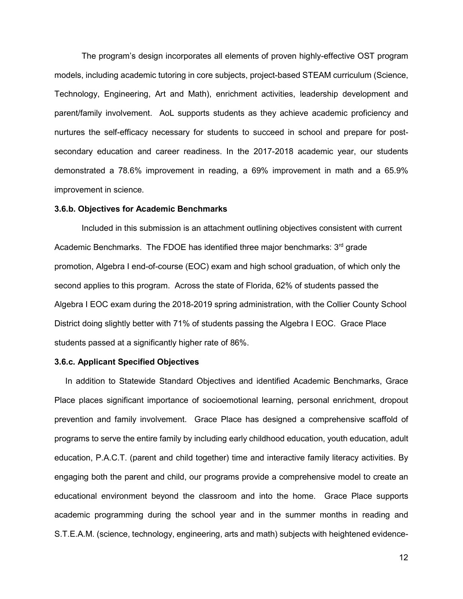The program's design incorporates all elements of proven highly-effective OST program models, including academic tutoring in core subjects, project-based STEAM curriculum (Science, Technology, Engineering, Art and Math), enrichment activities, leadership development and parent/family involvement. AoL supports students as they achieve academic proficiency and nurtures the self-efficacy necessary for students to succeed in school and prepare for postsecondary education and career readiness. In the 2017-2018 academic year, our students demonstrated a 78.6% improvement in reading, a 69% improvement in math and a 65.9% improvement in science.

### **3.6.b. Objectives for Academic Benchmarks**

Included in this submission is an attachment outlining objectives consistent with current Academic Benchmarks. The FDOE has identified three major benchmarks: 3<sup>rd</sup> grade promotion, Algebra I end-of-course (EOC) exam and high school graduation, of which only the second applies to this program. Across the state of Florida, 62% of students passed the Algebra I EOC exam during the 2018-2019 spring administration, with the Collier County School District doing slightly better with 71% of students passing the Algebra I EOC. Grace Place students passed at a significantly higher rate of 86%.

#### **3.6.c. Applicant Specified Objectives**

In addition to Statewide Standard Objectives and identified Academic Benchmarks, Grace Place places significant importance of socioemotional learning, personal enrichment, dropout prevention and family involvement. Grace Place has designed a comprehensive scaffold of programs to serve the entire family by including early childhood education, youth education, adult education, P.A.C.T. (parent and child together) time and interactive family literacy activities. By engaging both the parent and child, our programs provide a comprehensive model to create an educational environment beyond the classroom and into the home. Grace Place supports academic programming during the school year and in the summer months in reading and S.T.E.A.M. (science, technology, engineering, arts and math) subjects with heightened evidence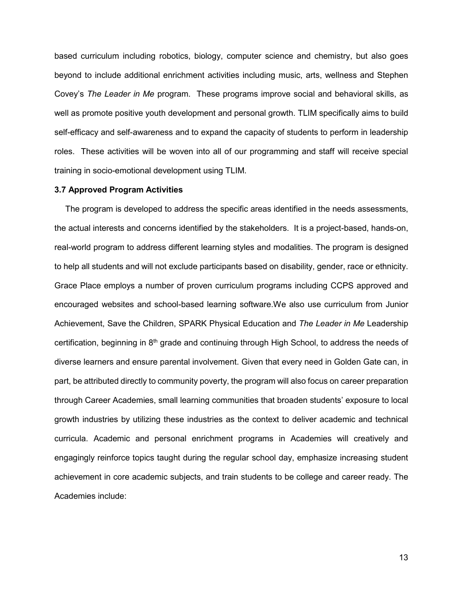based curriculum including robotics, biology, computer science and chemistry, but also goes beyond to include additional enrichment activities including music, arts, wellness and Stephen Covey's *The Leader in Me* program. These programs improve social and behavioral skills, as well as promote positive youth development and personal growth. TLIM specifically aims to build self-efficacy and self-awareness and to expand the capacity of students to perform in leadership roles. These activities will be woven into all of our programming and staff will receive special training in socio-emotional development using TLIM.

## **3.7 Approved Program Activities**

The program is developed to address the specific areas identified in the needs assessments, the actual interests and concerns identified by the stakeholders. It is a project-based, hands-on, real-world program to address different learning styles and modalities. The program is designed to help all students and will not exclude participants based on disability, gender, race or ethnicity. Grace Place employs a number of proven curriculum programs including CCPS approved and encouraged websites and school-based learning software.We also use curriculum from Junior Achievement, Save the Children, SPARK Physical Education and *The Leader in Me* Leadership certification, beginning in  $8<sup>th</sup>$  grade and continuing through High School, to address the needs of diverse learners and ensure parental involvement. Given that every need in Golden Gate can, in part, be attributed directly to community poverty, the program will also focus on career preparation through Career Academies, small learning communities that broaden students' exposure to local growth industries by utilizing these industries as the context to deliver academic and technical curricula. Academic and personal enrichment programs in Academies will creatively and engagingly reinforce topics taught during the regular school day, emphasize increasing student achievement in core academic subjects, and train students to be college and career ready. The Academies include: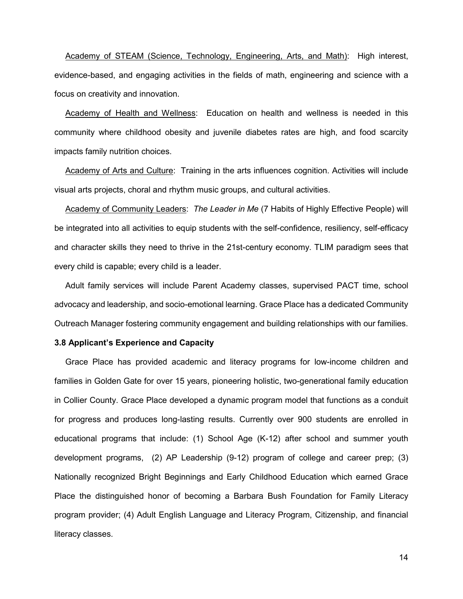Academy of STEAM (Science, Technology, Engineering, Arts, and Math): High interest, evidence-based, and engaging activities in the fields of math, engineering and science with a focus on creativity and innovation.

Academy of Health and Wellness: Education on health and wellness is needed in this community where childhood obesity and juvenile diabetes rates are high, and food scarcity impacts family nutrition choices.

Academy of Arts and Culture: Training in the arts influences cognition. Activities will include visual arts projects, choral and rhythm music groups, and cultural activities.

Academy of Community Leaders: *The Leader in Me* (7 Habits of Highly Effective People) will be integrated into all activities to equip students with the self-confidence, resiliency, self-efficacy and character skills they need to thrive in the 21st-century economy. TLIM paradigm sees that every child is capable; every child is a leader.

Adult family services will include Parent Academy classes, supervised PACT time, school advocacy and leadership, and socio-emotional learning. Grace Place has a dedicated Community Outreach Manager fostering community engagement and building relationships with our families.

### **3.8 Applicant's Experience and Capacity**

Grace Place has provided academic and literacy programs for low-income children and families in Golden Gate for over 15 years, pioneering holistic, two-generational family education in Collier County. Grace Place developed a dynamic program model that functions as a conduit for progress and produces long-lasting results. Currently over 900 students are enrolled in educational programs that include: (1) School Age (K-12) after school and summer youth development programs, (2) AP Leadership (9-12) program of college and career prep; (3) Nationally recognized Bright Beginnings and Early Childhood Education which earned Grace Place the distinguished honor of becoming a Barbara Bush Foundation for Family Literacy program provider; (4) Adult English Language and Literacy Program, Citizenship, and financial literacy classes.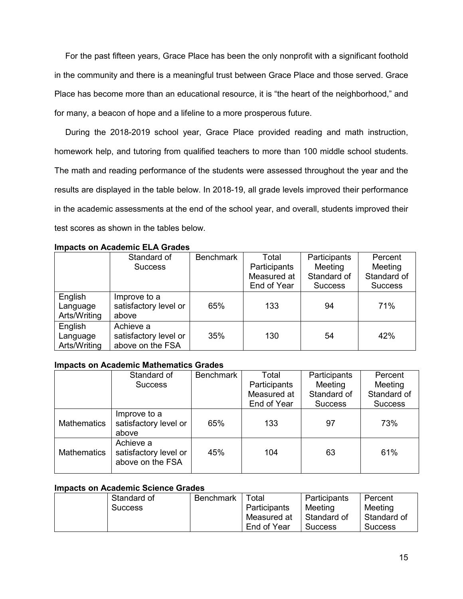For the past fifteen years, Grace Place has been the only nonprofit with a significant foothold in the community and there is a meaningful trust between Grace Place and those served. Grace Place has become more than an educational resource, it is "the heart of the neighborhood," and for many, a beacon of hope and a lifeline to a more prosperous future.

During the 2018-2019 school year, Grace Place provided reading and math instruction, homework help, and tutoring from qualified teachers to more than 100 middle school students. The math and reading performance of the students were assessed throughout the year and the results are displayed in the table below. In 2018-19, all grade levels improved their performance in the academic assessments at the end of the school year, and overall, students improved their test scores as shown in the tables below.

|                                     | Standard of<br><b>Success</b>                          | <b>Benchmark</b> | Total<br>Participants<br>Measured at | Participants<br>Meeting<br>Standard of | Percent<br>Meeting<br>Standard of |
|-------------------------------------|--------------------------------------------------------|------------------|--------------------------------------|----------------------------------------|-----------------------------------|
|                                     |                                                        |                  | End of Year                          | <b>Success</b>                         | <b>Success</b>                    |
| English<br>Language<br>Arts/Writing | Improve to a<br>satisfactory level or<br>above         | 65%              | 133                                  | 94                                     | 71%                               |
| English<br>Language<br>Arts/Writing | Achieve a<br>satisfactory level or<br>above on the FSA | 35%              | 130                                  | 54                                     | 42%                               |

**Impacts on Academic ELA Grades** 

## **Impacts on Academic Mathematics Grades**

|                    | Standard of                                            | <b>Benchmark</b> | Total        | Participants   | Percent        |
|--------------------|--------------------------------------------------------|------------------|--------------|----------------|----------------|
|                    | <b>Success</b>                                         |                  | Participants | Meeting        | Meeting        |
|                    |                                                        |                  | Measured at  | Standard of    | Standard of    |
|                    |                                                        |                  | End of Year  | <b>Success</b> | <b>Success</b> |
| <b>Mathematics</b> | Improve to a<br>satisfactory level or<br>above         | 65%              | 133          | 97             | 73%            |
| <b>Mathematics</b> | Achieve a<br>satisfactory level or<br>above on the FSA | 45%              | 104          | 63             | 61%            |

# **Impacts on Academic Science Grades**

| Standard of    | <b>Benchmark</b> | $\tau$ otal $\;$ | Participants  | Percent        |
|----------------|------------------|------------------|---------------|----------------|
| <b>Success</b> |                  | Participants     | Meeting       | Meeting        |
|                |                  | Measured at      | Ⅰ Standard of | l Standard of  |
|                |                  | End of Year      | Success       | <b>Success</b> |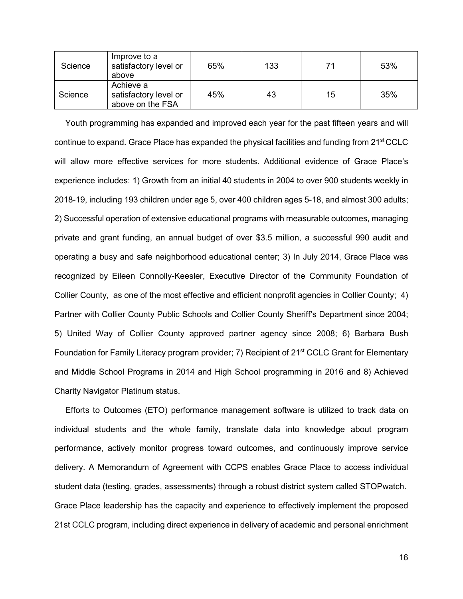| Science | Improve to a<br>satisfactory level or<br>above         | 65% | 133 |    | 53% |
|---------|--------------------------------------------------------|-----|-----|----|-----|
| Science | Achieve a<br>satisfactory level or<br>above on the FSA | 45% | 43  | 15 | 35% |

Youth programming has expanded and improved each year for the past fifteen years and will continue to expand. Grace Place has expanded the physical facilities and funding from 21<sup>st</sup> CCLC will allow more effective services for more students. Additional evidence of Grace Place's experience includes: 1) Growth from an initial 40 students in 2004 to over 900 students weekly in 2018-19, including 193 children under age 5, over 400 children ages 5-18, and almost 300 adults; 2) Successful operation of extensive educational programs with measurable outcomes, managing private and grant funding, an annual budget of over \$3.5 million, a successful 990 audit and operating a busy and safe neighborhood educational center; 3) In July 2014, Grace Place was recognized by Eileen Connolly-Keesler, Executive Director of the Community Foundation of Collier County, as one of the most effective and efficient nonprofit agencies in Collier County; 4) Partner with Collier County Public Schools and Collier County Sheriff's Department since 2004; 5) United Way of Collier County approved partner agency since 2008; 6) Barbara Bush Foundation for Family Literacy program provider; 7) Recipient of 21<sup>st</sup> CCLC Grant for Elementary and Middle School Programs in 2014 and High School programming in 2016 and 8) Achieved Charity Navigator Platinum status.

Efforts to Outcomes (ETO) performance management software is utilized to track data on individual students and the whole family, translate data into knowledge about program performance, actively monitor progress toward outcomes, and continuously improve service delivery. A Memorandum of Agreement with CCPS enables Grace Place to access individual student data (testing, grades, assessments) through a robust district system called STOPwatch. Grace Place leadership has the capacity and experience to effectively implement the proposed 21st CCLC program, including direct experience in delivery of academic and personal enrichment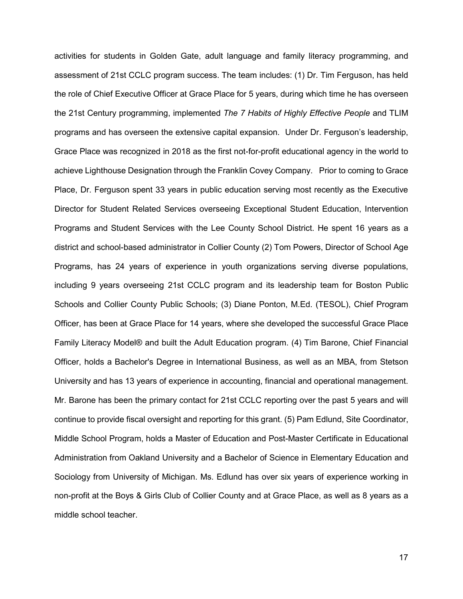activities for students in Golden Gate, adult language and family literacy programming, and assessment of 21st CCLC program success. The team includes: (1) Dr. Tim Ferguson, has held the role of Chief Executive Officer at Grace Place for 5 years, during which time he has overseen the 21st Century programming, implemented *The 7 Habits of Highly Effective People* and TLIM programs and has overseen the extensive capital expansion. Under Dr. Ferguson's leadership, Grace Place was recognized in 2018 as the first not-for-profit educational agency in the world to achieve Lighthouse Designation through the Franklin Covey Company. Prior to coming to Grace Place, Dr. Ferguson spent 33 years in public education serving most recently as the Executive Director for Student Related Services overseeing Exceptional Student Education, Intervention Programs and Student Services with the Lee County School District. He spent 16 years as a district and school-based administrator in Collier County (2) Tom Powers, Director of School Age Programs, has 24 years of experience in youth organizations serving diverse populations, including 9 years overseeing 21st CCLC program and its leadership team for Boston Public Schools and Collier County Public Schools; (3) Diane Ponton, M.Ed. (TESOL), Chief Program Officer, has been at Grace Place for 14 years, where she developed the successful Grace Place Family Literacy Model® and built the Adult Education program. (4) Tim Barone, Chief Financial Officer, holds a Bachelor's Degree in International Business, as well as an MBA, from Stetson University and has 13 years of experience in accounting, financial and operational management. Mr. Barone has been the primary contact for 21st CCLC reporting over the past 5 years and will continue to provide fiscal oversight and reporting for this grant. (5) Pam Edlund, Site Coordinator, Middle School Program, holds a Master of Education and Post-Master Certificate in Educational Administration from Oakland University and a Bachelor of Science in Elementary Education and Sociology from University of Michigan. Ms. Edlund has over six years of experience working in non-profit at the Boys & Girls Club of Collier County and at Grace Place, as well as 8 years as a middle school teacher.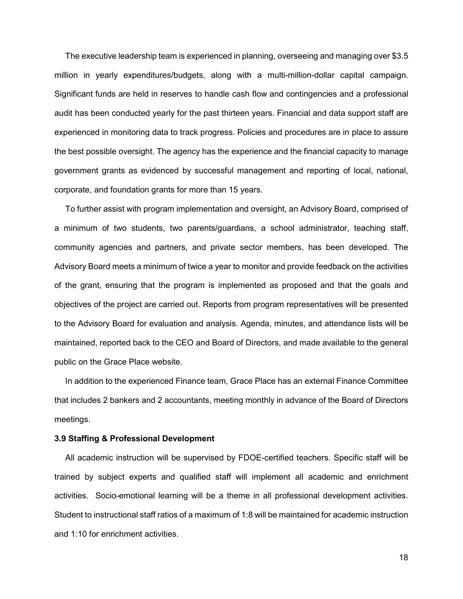The executive leadership team is experienced in planning, overseeing and managing over \$3.5 million in yearly expenditures/budgets, along with a multi-million-dollar capital campaign. Significant funds are held in reserves to handle cash flow and contingencies and a professional audit has been conducted yearly for the past thirteen years. Financial and data support staff are experienced in monitoring data to track progress. Policies and procedures are in place to assure the best possible oversight. The agency has the experience and the financial capacity to manage government grants as evidenced by successful management and reporting of local, national, corporate, and foundation grants for more than 15 years.

To further assist with program implementation and oversight, an Advisory Board, comprised of a minimum of two students, two parents/guardians, a school administrator, teaching staff, community agencies and partners, and private sector members, has been developed. The Advisory Board meets a minimum of twice a year to monitor and provide feedback on the activities of the grant, ensuring that the program is implemented as proposed and that the goals and objectives of the project are carried out. Reports from program representatives will be presented to the Advisory Board for evaluation and analysis. Agenda, minutes, and attendance lists will be maintained, reported back to the CEO and Board of Directors, and made available to the general public on the Grace Place website.

In addition to the experienced Finance team, Grace Place has an external Finance Committee that includes 2 bankers and 2 accountants, meeting monthly in advance of the Board of Directors meetings.

## **3.9 Staffing & Professional Development**

All academic instruction will be supervised by FDOE-certified teachers. Specific staff will be trained by subject experts and qualified staff will implement all academic and enrichment activities. Socio-emotional learning will be a theme in all professional development activities. Student to instructional staff ratios of a maximum of 1:8 will be maintained for academic instruction and 1:10 for enrichment activities.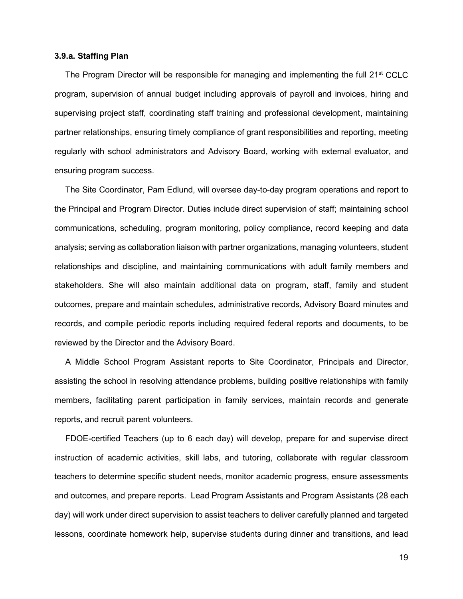### **3.9.a. Staffing Plan**

The Program Director will be responsible for managing and implementing the full 21<sup>st</sup> CCLC program, supervision of annual budget including approvals of payroll and invoices, hiring and supervising project staff, coordinating staff training and professional development, maintaining partner relationships, ensuring timely compliance of grant responsibilities and reporting, meeting regularly with school administrators and Advisory Board, working with external evaluator, and ensuring program success.

The Site Coordinator, Pam Edlund, will oversee day-to-day program operations and report to the Principal and Program Director. Duties include direct supervision of staff; maintaining school communications, scheduling, program monitoring, policy compliance, record keeping and data analysis; serving as collaboration liaison with partner organizations, managing volunteers, student relationships and discipline, and maintaining communications with adult family members and stakeholders. She will also maintain additional data on program, staff, family and student outcomes, prepare and maintain schedules, administrative records, Advisory Board minutes and records, and compile periodic reports including required federal reports and documents, to be reviewed by the Director and the Advisory Board.

A Middle School Program Assistant reports to Site Coordinator, Principals and Director, assisting the school in resolving attendance problems, building positive relationships with family members, facilitating parent participation in family services, maintain records and generate reports, and recruit parent volunteers.

FDOE-certified Teachers (up to 6 each day) will develop, prepare for and supervise direct instruction of academic activities, skill labs, and tutoring, collaborate with regular classroom teachers to determine specific student needs, monitor academic progress, ensure assessments and outcomes, and prepare reports. Lead Program Assistants and Program Assistants (28 each day) will work under direct supervision to assist teachers to deliver carefully planned and targeted lessons, coordinate homework help, supervise students during dinner and transitions, and lead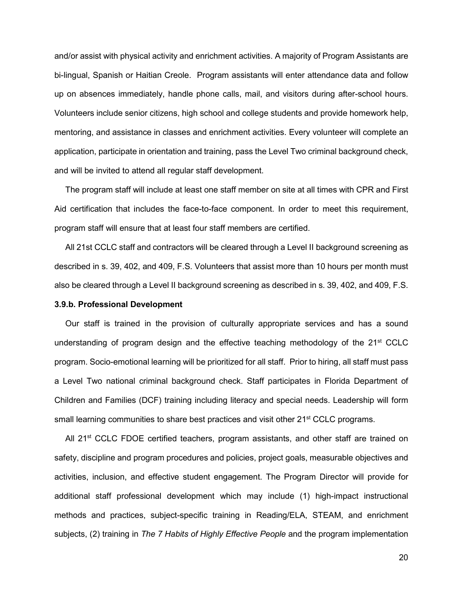and/or assist with physical activity and enrichment activities. A majority of Program Assistants are bi-lingual, Spanish or Haitian Creole. Program assistants will enter attendance data and follow up on absences immediately, handle phone calls, mail, and visitors during after-school hours. Volunteers include senior citizens, high school and college students and provide homework help, mentoring, and assistance in classes and enrichment activities. Every volunteer will complete an application, participate in orientation and training, pass the Level Two criminal background check, and will be invited to attend all regular staff development.

The program staff will include at least one staff member on site at all times with CPR and First Aid certification that includes the face-to-face component. In order to meet this requirement, program staff will ensure that at least four staff members are certified.

All 21st CCLC staff and contractors will be cleared through a Level II background screening as described in s. 39, 402, and 409, F.S. Volunteers that assist more than 10 hours per month must also be cleared through a Level II background screening as described in s. 39, 402, and 409, F.S.

#### **3.9.b. Professional Development**

Our staff is trained in the provision of culturally appropriate services and has a sound understanding of program design and the effective teaching methodology of the  $21<sup>st</sup>$  CCLC program. Socio-emotional learning will be prioritized for all staff. Prior to hiring, all staff must pass a Level Two national criminal background check. Staff participates in Florida Department of Children and Families (DCF) training including literacy and special needs. Leadership will form small learning communities to share best practices and visit other 21<sup>st</sup> CCLC programs.

All  $21<sup>st</sup>$  CCLC FDOE certified teachers, program assistants, and other staff are trained on safety, discipline and program procedures and policies, project goals, measurable objectives and activities, inclusion, and effective student engagement. The Program Director will provide for additional staff professional development which may include (1) high-impact instructional methods and practices, subject-specific training in Reading/ELA, STEAM, and enrichment subjects, (2) training in *The 7 Habits of Highly Effective People* and the program implementation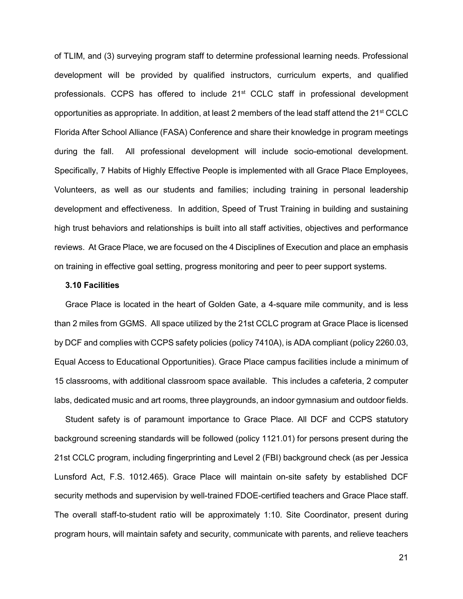of TLIM, and (3) surveying program staff to determine professional learning needs. Professional development will be provided by qualified instructors, curriculum experts, and qualified professionals. CCPS has offered to include 21<sup>st</sup> CCLC staff in professional development opportunities as appropriate. In addition, at least 2 members of the lead staff attend the  $21<sup>st</sup> CCLC$ Florida After School Alliance (FASA) Conference and share their knowledge in program meetings during the fall. All professional development will include socio-emotional development. Specifically, 7 Habits of Highly Effective People is implemented with all Grace Place Employees, Volunteers, as well as our students and families; including training in personal leadership development and effectiveness. In addition, Speed of Trust Training in building and sustaining high trust behaviors and relationships is built into all staff activities, objectives and performance reviews. At Grace Place, we are focused on the 4 Disciplines of Execution and place an emphasis on training in effective goal setting, progress monitoring and peer to peer support systems.

#### **3.10 Facilities**

Grace Place is located in the heart of Golden Gate, a 4-square mile community, and is less than 2 miles from GGMS. All space utilized by the 21st CCLC program at Grace Place is licensed by DCF and complies with CCPS safety policies (policy 7410A), is ADA compliant (policy 2260.03, Equal Access to Educational Opportunities). Grace Place campus facilities include a minimum of 15 classrooms, with additional classroom space available. This includes a cafeteria, 2 computer labs, dedicated music and art rooms, three playgrounds, an indoor gymnasium and outdoor fields.

Student safety is of paramount importance to Grace Place. All DCF and CCPS statutory background screening standards will be followed (policy 1121.01) for persons present during the 21st CCLC program, including fingerprinting and Level 2 (FBI) background check (as per Jessica Lunsford Act, F.S. 1012.465). Grace Place will maintain on-site safety by established DCF security methods and supervision by well-trained FDOE-certified teachers and Grace Place staff. The overall staff-to-student ratio will be approximately 1:10. Site Coordinator, present during program hours, will maintain safety and security, communicate with parents, and relieve teachers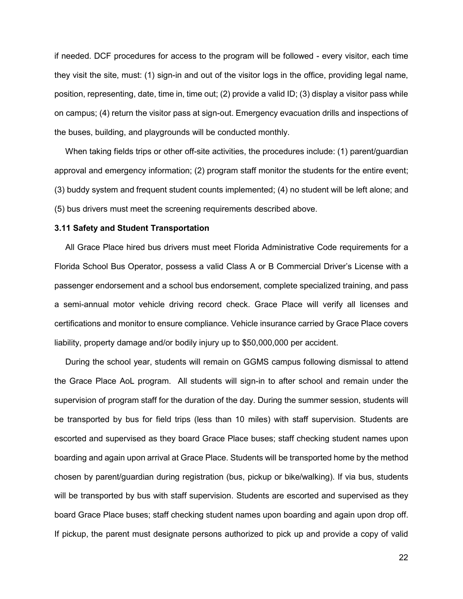if needed. DCF procedures for access to the program will be followed - every visitor, each time they visit the site, must: (1) sign-in and out of the visitor logs in the office, providing legal name, position, representing, date, time in, time out; (2) provide a valid ID; (3) display a visitor pass while on campus; (4) return the visitor pass at sign-out. Emergency evacuation drills and inspections of the buses, building, and playgrounds will be conducted monthly.

When taking fields trips or other off-site activities, the procedures include: (1) parent/quardian approval and emergency information; (2) program staff monitor the students for the entire event; (3) buddy system and frequent student counts implemented; (4) no student will be left alone; and (5) bus drivers must meet the screening requirements described above.

#### **3.11 Safety and Student Transportation**

All Grace Place hired bus drivers must meet Florida Administrative Code requirements for a Florida School Bus Operator, possess a valid Class A or B Commercial Driver's License with a passenger endorsement and a school bus endorsement, complete specialized training, and pass a semi-annual motor vehicle driving record check. Grace Place will verify all licenses and certifications and monitor to ensure compliance. Vehicle insurance carried by Grace Place covers liability, property damage and/or bodily injury up to \$50,000,000 per accident.

During the school year, students will remain on GGMS campus following dismissal to attend the Grace Place AoL program. All students will sign-in to after school and remain under the supervision of program staff for the duration of the day. During the summer session, students will be transported by bus for field trips (less than 10 miles) with staff supervision. Students are escorted and supervised as they board Grace Place buses; staff checking student names upon boarding and again upon arrival at Grace Place. Students will be transported home by the method chosen by parent/guardian during registration (bus, pickup or bike/walking). If via bus, students will be transported by bus with staff supervision. Students are escorted and supervised as they board Grace Place buses; staff checking student names upon boarding and again upon drop off. If pickup, the parent must designate persons authorized to pick up and provide a copy of valid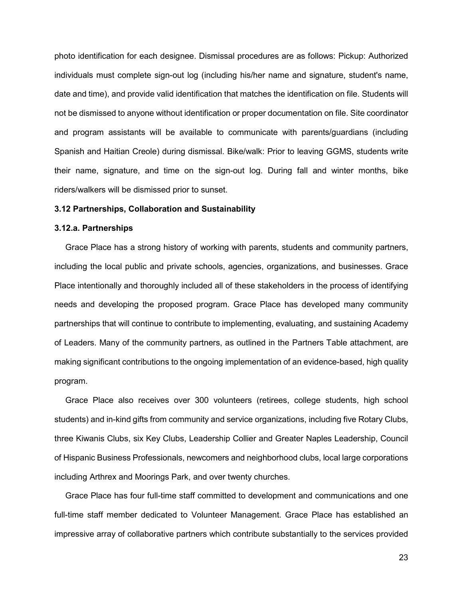photo identification for each designee. Dismissal procedures are as follows: Pickup: Authorized individuals must complete sign-out log (including his/her name and signature, student's name, date and time), and provide valid identification that matches the identification on file. Students will not be dismissed to anyone without identification or proper documentation on file. Site coordinator and program assistants will be available to communicate with parents/guardians (including Spanish and Haitian Creole) during dismissal. Bike/walk: Prior to leaving GGMS, students write their name, signature, and time on the sign-out log. During fall and winter months, bike riders/walkers will be dismissed prior to sunset.

## **3.12 Partnerships, Collaboration and Sustainability**

#### **3.12.a. Partnerships**

Grace Place has a strong history of working with parents, students and community partners, including the local public and private schools, agencies, organizations, and businesses. Grace Place intentionally and thoroughly included all of these stakeholders in the process of identifying needs and developing the proposed program. Grace Place has developed many community partnerships that will continue to contribute to implementing, evaluating, and sustaining Academy of Leaders. Many of the community partners, as outlined in the Partners Table attachment, are making significant contributions to the ongoing implementation of an evidence-based, high quality program.

Grace Place also receives over 300 volunteers (retirees, college students, high school students) and in-kind gifts from community and service organizations, including five Rotary Clubs, three Kiwanis Clubs, six Key Clubs, Leadership Collier and Greater Naples Leadership, Council of Hispanic Business Professionals, newcomers and neighborhood clubs, local large corporations including Arthrex and Moorings Park, and over twenty churches.

Grace Place has four full-time staff committed to development and communications and one full-time staff member dedicated to Volunteer Management. Grace Place has established an impressive array of collaborative partners which contribute substantially to the services provided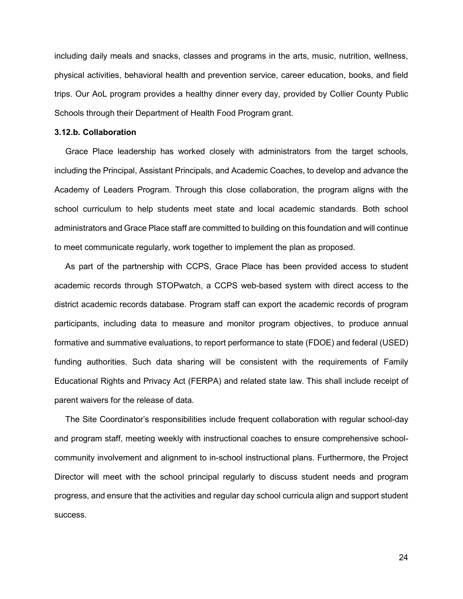including daily meals and snacks, classes and programs in the arts, music, nutrition, wellness, physical activities, behavioral health and prevention service, career education, books, and field trips. Our AoL program provides a healthy dinner every day, provided by Collier County Public Schools through their Department of Health Food Program grant.

#### **3.12.b. Collaboration**

Grace Place leadership has worked closely with administrators from the target schools, including the Principal, Assistant Principals, and Academic Coaches, to develop and advance the Academy of Leaders Program. Through this close collaboration, the program aligns with the school curriculum to help students meet state and local academic standards. Both school administrators and Grace Place staff are committed to building on this foundation and will continue to meet communicate regularly, work together to implement the plan as proposed.

As part of the partnership with CCPS, Grace Place has been provided access to student academic records through STOPwatch, a CCPS web-based system with direct access to the district academic records database. Program staff can export the academic records of program participants, including data to measure and monitor program objectives, to produce annual formative and summative evaluations, to report performance to state (FDOE) and federal (USED) funding authorities. Such data sharing will be consistent with the requirements of Family Educational Rights and Privacy Act (FERPA) and related state law. This shall include receipt of parent waivers for the release of data.

The Site Coordinator's responsibilities include frequent collaboration with regular school-day and program staff, meeting weekly with instructional coaches to ensure comprehensive schoolcommunity involvement and alignment to in-school instructional plans. Furthermore, the Project Director will meet with the school principal regularly to discuss student needs and program progress, and ensure that the activities and regular day school curricula align and support student success.